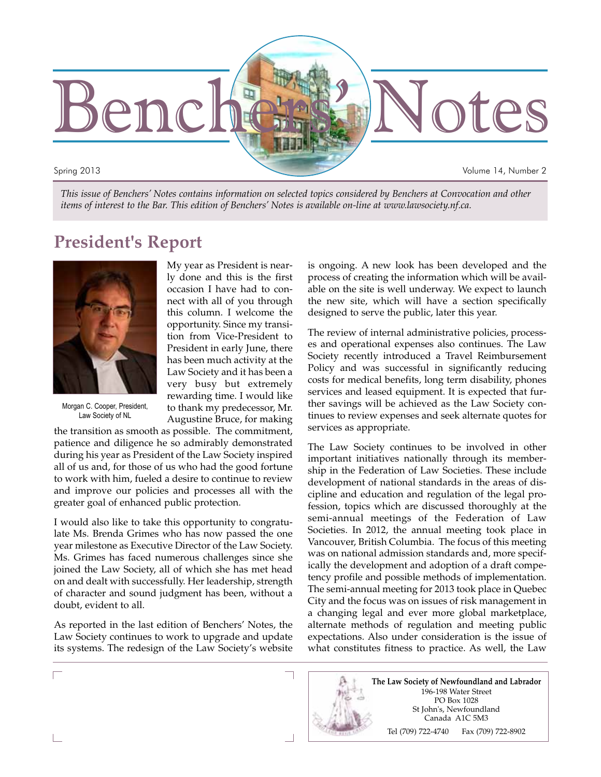

*This issue of Benchers' Notes contains information on selected topics considered by Benchers at Convocation and other items of interest to the Bar. This edition of Benchers' Notes is available on-line at www.lawsociety.nf.ca.*

# **President's Report**



Morgan C. Cooper, President, Law Society of NL

My year as President is nearly done and this is the first occasion I have had to connect with all of you through this column. I welcome the opportunity. Since my transition from Vice-President to President in early June, there has been much activity at the Law Society and it has been a very busy but extremely rewarding time. I would like to thank my predecessor, Mr. Augustine Bruce, for making

the transition as smooth as possible. The commitment, patience and diligence he so admirably demonstrated during his year as President of the Law Society inspired all of us and, for those of us who had the good fortune to work with him, fueled a desire to continue to review and improve our policies and processes all with the greater goal of enhanced public protection.

I would also like to take this opportunity to congratulate Ms. Brenda Grimes who has now passed the one year milestone as Executive Director of the Law Society. Ms. Grimes has faced numerous challenges since she joined the Law Society, all of which she has met head on and dealt with successfully. Her leadership, strength of character and sound judgment has been, without a doubt, evident to all.

As reported in the last edition of Benchers' Notes, the Law Society continues to work to upgrade and update its systems. The redesign of the Law Society's website is ongoing. A new look has been developed and the process of creating the information which will be available on the site is well underway. We expect to launch the new site, which will have a section specifically designed to serve the public, later this year.

The review of internal administrative policies, processes and operational expenses also continues. The Law Society recently introduced a Travel Reimbursement Policy and was successful in significantly reducing costs for medical benefits, long term disability, phones services and leased equipment. It is expected that further savings will be achieved as the Law Society continues to review expenses and seek alternate quotes for services as appropriate.

The Law Society continues to be involved in other important initiatives nationally through its membership in the Federation of Law Societies. These include development of national standards in the areas of discipline and education and regulation of the legal profession, topics which are discussed thoroughly at the semi-annual meetings of the Federation of Law Societies. In 2012, the annual meeting took place in Vancouver, British Columbia. The focus of this meeting was on national admission standards and, more specifically the development and adoption of a draft competency profile and possible methods of implementation. The semi-annual meeting for 2013 took place in Quebec City and the focus was on issues of risk management in a changing legal and ever more global marketplace, alternate methods of regulation and meeting public expectations. Also under consideration is the issue of what constitutes fitness to practice. As well, the Law

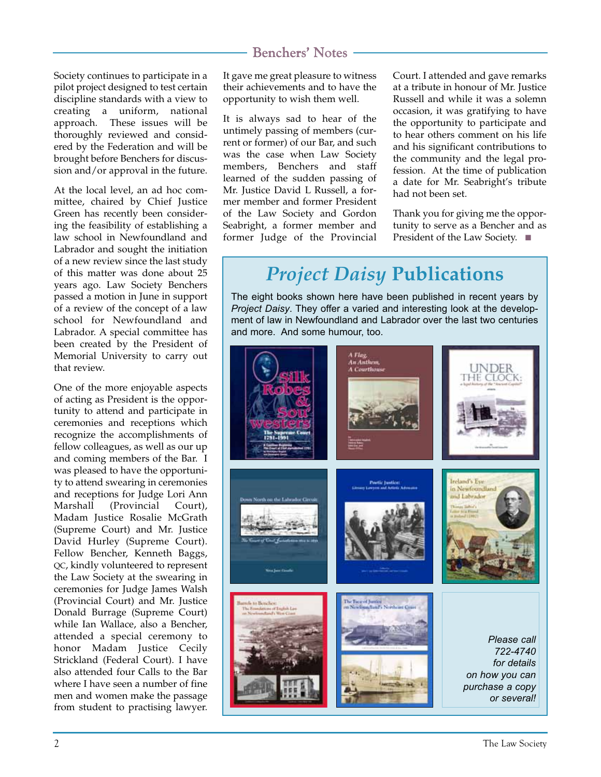Society continues to participate in a pilot project designed to test certain discipline standards with a view to creating a uniform, national approach. These issues will be thoroughly reviewed and considered by the Federation and will be brought before Benchers for discussion and/or approval in the future.

At the local level, an ad hoc committee, chaired by Chief Justice Green has recently been considering the feasibility of establishing a law school in Newfoundland and Labrador and sought the initiation of a new review since the last study of this matter was done about 25 years ago. Law Society Benchers passed a motion in June in support of a review of the concept of a law school for Newfoundland and Labrador. A special committee has been created by the President of Memorial University to carry out that review.

One of the more enjoyable aspects of acting as President is the opportunity to attend and participate in ceremonies and receptions which recognize the accomplishments of fellow colleagues, as well as our up and coming members of the Bar. I was pleased to have the opportunity to attend swearing in ceremonies and receptions for Judge Lori Ann Marshall (Provincial Court), Madam Justice Rosalie McGrath (Supreme Court) and Mr. Justice David Hurley (Supreme Court). Fellow Bencher, Kenneth Baggs, QC, kindly volunteered to represent the Law Society at the swearing in ceremonies for Judge James Walsh (Provincial Court) and Mr. Justice Donald Burrage (Supreme Court) while Ian Wallace, also a Bencher, attended a special ceremony to honor Madam Justice Cecily Strickland (Federal Court). I have also attended four Calls to the Bar where I have seen a number of fine men and women make the passage from student to practising lawyer.

It gave me great pleasure to witness their achievements and to have the opportunity to wish them well.

It is always sad to hear of the untimely passing of members (current or former) of our Bar, and such was the case when Law Society members, Benchers and staff learned of the sudden passing of Mr. Justice David L Russell, a former member and former President of the Law Society and Gordon Seabright, a former member and former Judge of the Provincial Court. I attended and gave remarks at a tribute in honour of Mr. Justice Russell and while it was a solemn occasion, it was gratifying to have the opportunity to participate and to hear others comment on his life and his significant contributions to the community and the legal profession. At the time of publication a date for Mr. Seabright's tribute had not been set.

Thank you for giving me the opportunity to serve as a Bencher and as President of the Law Society. ■

# *Project Daisy* **Publications**

The eight books shown here have been published in recent years by *Project Daisy*. They offer a varied and interesting look at the development of law in Newfoundland and Labrador over the last two centuries and more. And some humour, too.

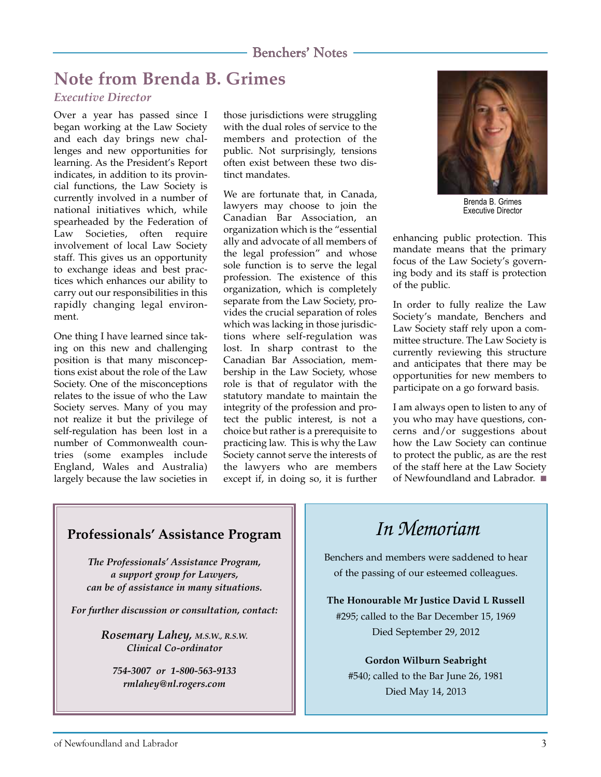# **Note from Brenda B. Grimes**

### *Executive Director*

Over a year has passed since I began working at the Law Society and each day brings new challenges and new opportunities for learning. As the President's Report indicates, in addition to its provincial functions, the Law Society is currently involved in a number of national initiatives which, while spearheaded by the Federation of Law Societies, often require involvement of local Law Society staff. This gives us an opportunity to exchange ideas and best practices which enhances our ability to carry out our responsibilities in this rapidly changing legal environment.

One thing I have learned since taking on this new and challenging position is that many misconceptions exist about the role of the Law Society. One of the misconceptions relates to the issue of who the Law Society serves. Many of you may not realize it but the privilege of self-regulation has been lost in a number of Commonwealth countries (some examples include England, Wales and Australia) largely because the law societies in

those jurisdictions were struggling with the dual roles of service to the members and protection of the public. Not surprisingly, tensions often exist between these two distinct mandates.

We are fortunate that, in Canada, lawyers may choose to join the Canadian Bar Association, an organization which is the "essential ally and advocate of all members of the legal profession" and whose sole function is to serve the legal profession. The existence of this organization, which is completely separate from the Law Society, provides the crucial separation of roles which was lacking in those jurisdictions where self-regulation was lost. In sharp contrast to the Canadian Bar Association, membership in the Law Society, whose role is that of regulator with the statutory mandate to maintain the integrity of the profession and protect the public interest, is not a choice but rather is a prerequisite to practicing law. This is why the Law Society cannot serve the interests of the lawyers who are members except if, in doing so, it is further



Brenda B. Grimes Executive Director

enhancing public protection. This mandate means that the primary focus of the Law Society's governing body and its staff is protection of the public.

In order to fully realize the Law Society's mandate, Benchers and Law Society staff rely upon a committee structure. The Law Society is currently reviewing this structure and anticipates that there may be opportunities for new members to participate on a go forward basis.

I am always open to listen to any of you who may have questions, concerns and/or suggestions about how the Law Society can continue to protect the public, as are the rest of the staff here at the Law Society of Newfoundland and Labrador. ■

### **Professionals' Assistance Program**

*The Professionals' Assistance Program, a support group for Lawyers, can be of assistance in many situations.*

*For further discussion or consultation, contact:*

*Rosemary Lahey, M.S.W., R.S.W. Clinical Co-ordinator*

*754-3007 or 1-800-563-9133 rmlahey@nl.rogers.com*

# *In Memoriam*

Benchers and members were saddened to hear of the passing of our esteemed colleagues.

**The Honourable Mr Justice David L Russell** #295; called to the Bar December 15, 1969 Died September 29, 2012

**Gordon Wilburn Seabright**

#540; called to the Bar June 26, 1981 Died May 14, 2013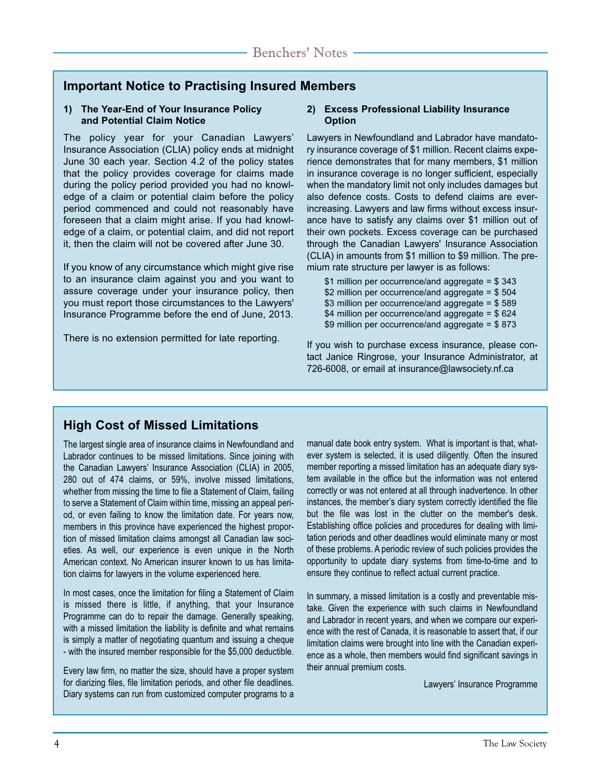### **Important Notice to Practising Insured Members**

#### **1) The Year-End of Your Insurance Policy and Potential Claim Notice**

The policy year for your Canadian Lawyers' Insurance Association (CLIA) policy ends at midnight June 30 each year. Section 4.2 of the policy states that the policy provides coverage for claims made during the policy period provided you had no knowledge of a claim or potential claim before the policy period commenced and could not reasonably have foreseen that a claim might arise. If you had knowledge of a claim, or potential claim, and did not report it, then the claim will not be covered after June 30.

If you know of any circumstance which might give rise to an insurance claim against you and you want to assure coverage under your insurance policy, then you must report those circumstances to the Lawyers' Insurance Programme before the end of June, 2013.

There is no extension permitted for late reporting.

#### **2) Excess Professional Liability Insurance Option**

Lawyers in Newfoundland and Labrador have mandatory insurance coverage of \$1 million. Recent claims experience demonstrates that for many members, \$1 million in insurance coverage is no longer sufficient, especially when the mandatory limit not only includes damages but also defence costs. Costs to defend claims are everincreasing. Lawyers and law firms without excess insurance have to satisfy any claims over \$1 million out of their own pockets. Excess coverage can be purchased through the Canadian Lawyers' Insurance Association (CLIA) in amounts from \$1 million to \$9 million. The premium rate structure per lawyer is as follows:

\$1 million per occurrence/and aggregate = \$ 343 \$2 million per occurrence/and aggregate = \$ 504 \$3 million per occurrence/and aggregate = \$ 589 \$4 million per occurrence/and aggregate = \$ 624 \$9 million per occurrence/and aggregate = \$ 873

If you wish to purchase excess insurance, please contact Janice Ringrose, your Insurance Administrator, at 726-6008, or email at insurance@lawsociety.nf.ca

### **High Cost of Missed Limitations**

The largest single area of insurance claims in Newfoundland and Labrador continues to be missed limitations. Since joining with the Canadian Lawyers' Insurance Association (CLIA) in 2005, 280 out of 474 claims, or 59%, involve missed limitations, whether from missing the time to file a Statement of Claim, failing to serve a Statement of Claim within time, missing an appeal period, or even failing to know the limitation date. For years now, members in this province have experienced the highest proportion of missed limitation claims amongst all Canadian law societies. As well, our experience is even unique in the North American context. No American insurer known to us has limitation claims for lawyers in the volume experienced here.

In most cases, once the limitation for filing a Statement of Claim is missed there is little, if anything, that your Insurance Programme can do to repair the damage. Generally speaking, with a missed limitation the liability is definite and what remains is simply a matter of negotiating quantum and issuing a cheque - with the insured member responsible for the \$5,000 deductible.

Every law firm, no matter the size, should have a proper system for diarizing files, file limitation periods, and other file deadlines. Diary systems can run from customized computer programs to a manual date book entry system. What is important is that, whatever system is selected, it is used diligently. Often the insured member reporting a missed limitation has an adequate diary system available in the office but the information was not entered correctly or was not entered at all through inadvertence. In other instances, the member's diary system correctly identified the file but the file was lost in the clutter on the member's desk. Establishing office policies and procedures for dealing with limitation periods and other deadlines would eliminate many or most of these problems. A periodic review of such policies provides the opportunity to update diary systems from time-to-time and to ensure they continue to reflect actual current practice.

In summary, a missed limitation is a costly and preventable mistake. Given the experience with such claims in Newfoundland and Labrador in recent years, and when we compare our experience with the rest of Canada, it is reasonable to assert that, if our limitation claims were brought into line with the Canadian experience as a whole, then members would find significant savings in their annual premium costs.

Lawyers' Insurance Programme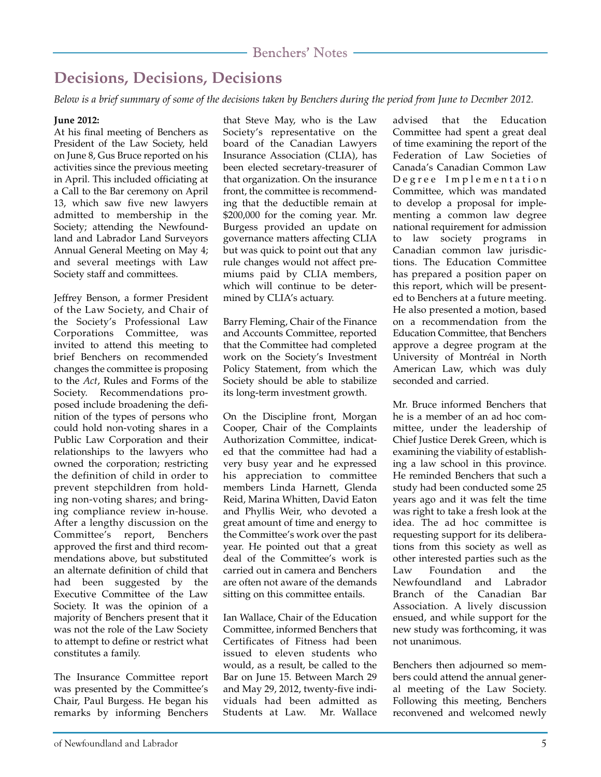# **Decisions, Decisions, Decisions**

*Below is a brief summary of some of the decisions taken by Benchers during the period from June to Decmber 2012.*

#### **June 2012:**

At his final meeting of Benchers as President of the Law Society, held on June 8, Gus Bruce reported on his activities since the previous meeting in April. This included officiating at a Call to the Bar ceremony on April 13, which saw five new lawyers admitted to membership in the Society; attending the Newfoundland and Labrador Land Surveyors Annual General Meeting on May 4; and several meetings with Law Society staff and committees.

Jeffrey Benson, a former President of the Law Society, and Chair of the Society's Professional Law Corporations Committee, was invited to attend this meeting to brief Benchers on recommended changes the committee is proposing to the *Act*, Rules and Forms of the Society. Recommendations proposed include broadening the definition of the types of persons who could hold non-voting shares in a Public Law Corporation and their relationships to the lawyers who owned the corporation; restricting the definition of child in order to prevent stepchildren from holding non-voting shares; and bringing compliance review in-house. After a lengthy discussion on the Committee's report, Benchers approved the first and third recommendations above, but substituted an alternate definition of child that had been suggested by the Executive Committee of the Law Society. It was the opinion of a majority of Benchers present that it was not the role of the Law Society to attempt to define or restrict what constitutes a family.

The Insurance Committee report was presented by the Committee's Chair, Paul Burgess. He began his remarks by informing Benchers

that Steve May, who is the Law Society's representative on the board of the Canadian Lawyers Insurance Association (CLIA), has been elected secretary-treasurer of that organization. On the insurance front, the committee is recommending that the deductible remain at \$200,000 for the coming year. Mr. Burgess provided an update on governance matters affecting CLIA but was quick to point out that any rule changes would not affect premiums paid by CLIA members, which will continue to be determined by CLIA's actuary.

Barry Fleming, Chair of the Finance and Accounts Committee, reported that the Committee had completed work on the Society's Investment Policy Statement, from which the Society should be able to stabilize its long-term investment growth.

On the Discipline front, Morgan Cooper, Chair of the Complaints Authorization Committee, indicated that the committee had had a very busy year and he expressed his appreciation to committee members Linda Harnett, Glenda Reid, Marina Whitten, David Eaton and Phyllis Weir, who devoted a great amount of time and energy to the Committee's work over the past year. He pointed out that a great deal of the Committee's work is carried out in camera and Benchers are often not aware of the demands sitting on this committee entails.

Ian Wallace, Chair of the Education Committee, informed Benchers that Certificates of Fitness had been issued to eleven students who would, as a result, be called to the Bar on June 15. Between March 29 and May 29, 2012, twenty-five individuals had been admitted as Students at Law. Mr. Wallace advised that the Education Committee had spent a great deal of time examining the report of the Federation of Law Societies of Canada's Canadian Common Law Degree Implementation Committee, which was mandated to develop a proposal for implementing a common law degree national requirement for admission to law society programs in Canadian common law jurisdictions. The Education Committee has prepared a position paper on this report, which will be presented to Benchers at a future meeting. He also presented a motion, based on a recommendation from the Education Committee, that Benchers approve a degree program at the University of Montréal in North American Law, which was duly seconded and carried.

Mr. Bruce informed Benchers that he is a member of an ad hoc committee, under the leadership of Chief Justice Derek Green, which is examining the viability of establishing a law school in this province. He reminded Benchers that such a study had been conducted some 25 years ago and it was felt the time was right to take a fresh look at the idea. The ad hoc committee is requesting support for its deliberations from this society as well as other interested parties such as the Law Foundation and the Newfoundland and Labrador Branch of the Canadian Bar Association. A lively discussion ensued, and while support for the new study was forthcoming, it was not unanimous.

Benchers then adjourned so members could attend the annual general meeting of the Law Society. Following this meeting, Benchers reconvened and welcomed newly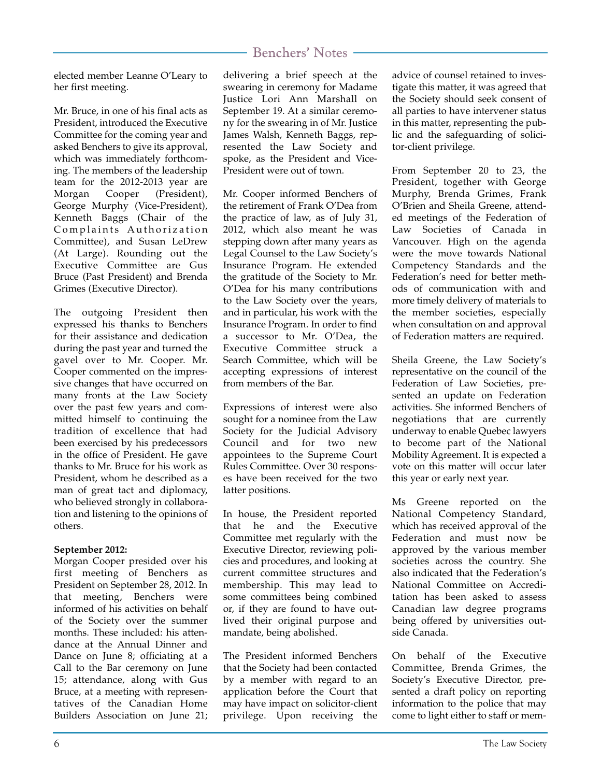elected member Leanne O'Leary to her first meeting.

Mr. Bruce, in one of his final acts as President, introduced the Executive Committee for the coming year and asked Benchers to give its approval, which was immediately forthcoming. The members of the leadership team for the 2012-2013 year are Morgan Cooper (President), George Murphy (Vice-President), Kenneth Baggs (Chair of the Complaints Authorization Committee), and Susan LeDrew (At Large). Rounding out the Executive Committee are Gus Bruce (Past President) and Brenda Grimes (Executive Director).

The outgoing President then expressed his thanks to Benchers for their assistance and dedication during the past year and turned the gavel over to Mr. Cooper. Mr. Cooper commented on the impressive changes that have occurred on many fronts at the Law Society over the past few years and committed himself to continuing the tradition of excellence that had been exercised by his predecessors in the office of President. He gave thanks to Mr. Bruce for his work as President, whom he described as a man of great tact and diplomacy, who believed strongly in collaboration and listening to the opinions of others.

#### **September 2012:**

Morgan Cooper presided over his first meeting of Benchers as President on September 28, 2012. In that meeting, Benchers were informed of his activities on behalf of the Society over the summer months. These included: his attendance at the Annual Dinner and Dance on June 8; officiating at a Call to the Bar ceremony on June 15; attendance, along with Gus Bruce, at a meeting with representatives of the Canadian Home Builders Association on June 21; delivering a brief speech at the swearing in ceremony for Madame Justice Lori Ann Marshall on September 19. At a similar ceremony for the swearing in of Mr. Justice James Walsh, Kenneth Baggs, represented the Law Society and spoke, as the President and Vice-President were out of town.

Mr. Cooper informed Benchers of the retirement of Frank O'Dea from the practice of law, as of July 31, 2012, which also meant he was stepping down after many years as Legal Counsel to the Law Society's Insurance Program. He extended the gratitude of the Society to Mr. O'Dea for his many contributions to the Law Society over the years, and in particular, his work with the Insurance Program. In order to find a successor to Mr. O'Dea, the Executive Committee struck a Search Committee, which will be accepting expressions of interest from members of the Bar.

Expressions of interest were also sought for a nominee from the Law Society for the Judicial Advisory Council and for two new appointees to the Supreme Court Rules Committee. Over 30 responses have been received for the two latter positions.

In house, the President reported that he and the Executive Committee met regularly with the Executive Director, reviewing policies and procedures, and looking at current committee structures and membership. This may lead to some committees being combined or, if they are found to have outlived their original purpose and mandate, being abolished.

The President informed Benchers that the Society had been contacted by a member with regard to an application before the Court that may have impact on solicitor-client privilege. Upon receiving the

advice of counsel retained to investigate this matter, it was agreed that the Society should seek consent of all parties to have intervener status in this matter, representing the public and the safeguarding of solicitor-client privilege.

From September 20 to 23, the President, together with George Murphy, Brenda Grimes, Frank O'Brien and Sheila Greene, attended meetings of the Federation of Law Societies of Canada in Vancouver. High on the agenda were the move towards National Competency Standards and the Federation's need for better methods of communication with and more timely delivery of materials to the member societies, especially when consultation on and approval of Federation matters are required.

Sheila Greene, the Law Society's representative on the council of the Federation of Law Societies, presented an update on Federation activities. She informed Benchers of negotiations that are currently underway to enable Quebec lawyers to become part of the National Mobility Agreement. It is expected a vote on this matter will occur later this year or early next year.

Ms Greene reported on the National Competency Standard, which has received approval of the Federation and must now be approved by the various member societies across the country. She also indicated that the Federation's National Committee on Accreditation has been asked to assess Canadian law degree programs being offered by universities outside Canada.

On behalf of the Executive Committee, Brenda Grimes, the Society's Executive Director, presented a draft policy on reporting information to the police that may come to light either to staff or mem-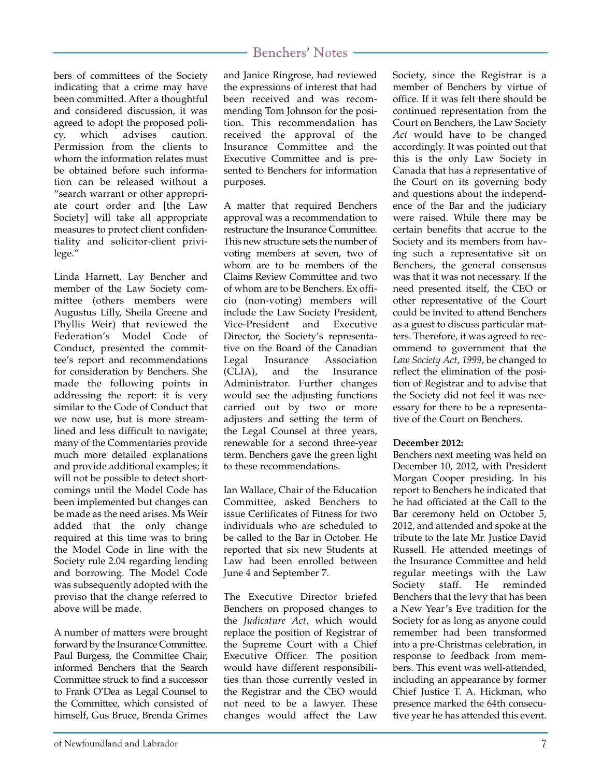bers of committees of the Society indicating that a crime may have been committed. After a thoughtful and considered discussion, it was agreed to adopt the proposed policy, which advises caution. Permission from the clients to whom the information relates must be obtained before such information can be released without a "search warrant or other appropriate court order and [the Law Society] will take all appropriate measures to protect client confidentiality and solicitor-client privilege."

Linda Harnett, Lay Bencher and member of the Law Society committee (others members were Augustus Lilly, Sheila Greene and Phyllis Weir) that reviewed the Federation's Model Code of Conduct, presented the committee's report and recommendations for consideration by Benchers. She made the following points in addressing the report: it is very similar to the Code of Conduct that we now use, but is more streamlined and less difficult to navigate; many of the Commentaries provide much more detailed explanations and provide additional examples; it will not be possible to detect shortcomings until the Model Code has been implemented but changes can be made as the need arises. Ms Weir added that the only change required at this time was to bring the Model Code in line with the Society rule 2.04 regarding lending and borrowing. The Model Code was subsequently adopted with the proviso that the change referred to above will be made.

A number of matters were brought forward by the Insurance Committee. Paul Burgess, the Committee Chair, informed Benchers that the Search Committee struck to find a successor to Frank O'Dea as Legal Counsel to the Committee, which consisted of himself, Gus Bruce, Brenda Grimes

and Janice Ringrose, had reviewed the expressions of interest that had been received and was recommending Tom Johnson for the position. This recommendation has received the approval of the Insurance Committee and the Executive Committee and is presented to Benchers for information purposes.

A matter that required Benchers approval was a recommendation to restructure the Insurance Committee. This new structure sets the number of voting members at seven, two of whom are to be members of the Claims Review Committee and two of whom are to be Benchers. Ex officio (non-voting) members will include the Law Society President, Vice-President and Executive Director, the Society's representative on the Board of the Canadian Legal Insurance Association (CLIA), and the Insurance Administrator. Further changes would see the adjusting functions carried out by two or more adjusters and setting the term of the Legal Counsel at three years, renewable for a second three-year term. Benchers gave the green light to these recommendations.

Ian Wallace, Chair of the Education Committee, asked Benchers to issue Certificates of Fitness for two individuals who are scheduled to be called to the Bar in October. He reported that six new Students at Law had been enrolled between June 4 and September 7.

The Executive Director briefed Benchers on proposed changes to the *Judicature Act*, which would replace the position of Registrar of the Supreme Court with a Chief Executive Officer. The position would have different responsibilities than those currently vested in the Registrar and the CEO would not need to be a lawyer. These changes would affect the Law

Society, since the Registrar is a member of Benchers by virtue of office. If it was felt there should be continued representation from the Court on Benchers, the Law Society *Act* would have to be changed accordingly. It was pointed out that this is the only Law Society in Canada that has a representative of the Court on its governing body and questions about the independence of the Bar and the judiciary were raised. While there may be certain benefits that accrue to the Society and its members from having such a representative sit on Benchers, the general consensus was that it was not necessary. If the need presented itself, the CEO or other representative of the Court could be invited to attend Benchers as a guest to discuss particular matters. Therefore, it was agreed to recommend to government that the *Law Society Act, 1999*, be changed to reflect the elimination of the position of Registrar and to advise that the Society did not feel it was necessary for there to be a representative of the Court on Benchers.

#### **December 2012:**

Benchers next meeting was held on December 10, 2012, with President Morgan Cooper presiding. In his report to Benchers he indicated that he had officiated at the Call to the Bar ceremony held on October 5, 2012, and attended and spoke at the tribute to the late Mr. Justice David Russell. He attended meetings of the Insurance Committee and held regular meetings with the Law Society staff. He reminded Benchers that the levy that has been a New Year's Eve tradition for the Society for as long as anyone could remember had been transformed into a pre-Christmas celebration, in response to feedback from members. This event was well-attended, including an appearance by former Chief Justice T. A. Hickman, who presence marked the 64th consecutive year he has attended this event.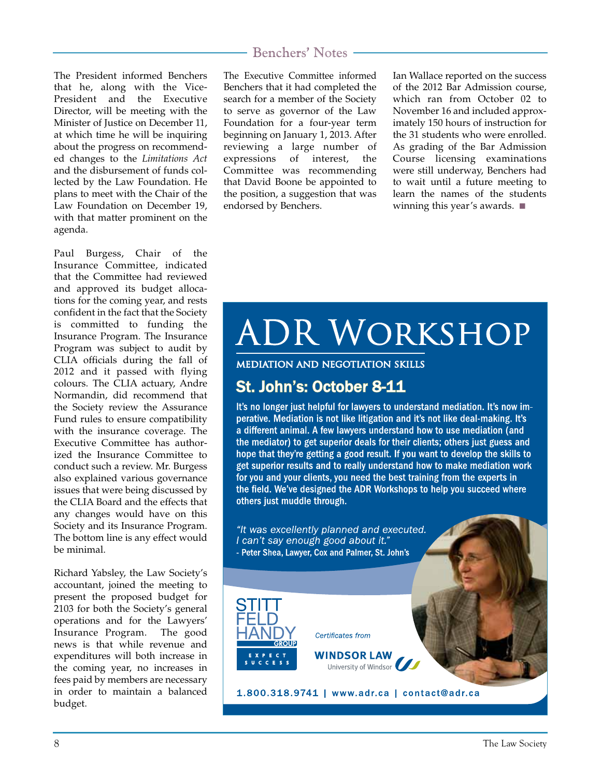The President informed Benchers that he, along with the Vice-President and the Executive Director, will be meeting with the Minister of Justice on December 11, at which time he will be inquiring about the progress on recommended changes to the *Limitations Act* and the disbursement of funds collected by the Law Foundation. He plans to meet with the Chair of the Law Foundation on December 19, with that matter prominent on the agenda.

Paul Burgess, Chair of the Insurance Committee, indicated that the Committee had reviewed and approved its budget allocations for the coming year, and rests confident in the fact that the Society is committed to funding the Insurance Program. The Insurance Program was subject to audit by CLIA officials during the fall of 2012 and it passed with flying colours. The CLIA actuary, Andre Normandin, did recommend that the Society review the Assurance Fund rules to ensure compatibility with the insurance coverage. The Executive Committee has authorized the Insurance Committee to conduct such a review. Mr. Burgess also explained various governance issues that were being discussed by the CLIA Board and the effects that any changes would have on this Society and its Insurance Program. The bottom line is any effect would be minimal.

Richard Yabsley, the Law Society's accountant, joined the meeting to present the proposed budget for 2103 for both the Society's general operations and for the Lawyers' Insurance Program. The good news is that while revenue and expenditures will both increase in the coming year, no increases in fees paid by members are necessary in order to maintain a balanced budget.

### Benchers' Notes

The Executive Committee informed Benchers that it had completed the search for a member of the Society to serve as governor of the Law Foundation for a four-year term beginning on January 1, 2013. After reviewing a large number of expressions of interest, the Committee was recommending that David Boone be appointed to the position, a suggestion that was endorsed by Benchers.

Ian Wallace reported on the success of the 2012 Bar Admission course, which ran from October 02 to November 16 and included approximately 150 hours of instruction for the 31 students who were enrolled. As grading of the Bar Admission Course licensing examinations were still underway, Benchers had to wait until a future meeting to learn the names of the students winning this year's awards. ■

# **ADR WORKSHOP**

**MEDIATION AND NEGOTIATION SKILLS** 

# St. John's: October 8-11

It's no longer just helpful for lawyers to understand mediation. It's now imperative. Mediation is not like litigation and it's not like deal-making. It's a different animal. A few lawyers understand how to use mediation (and the mediator) to get superior deals for their clients; others just guess and hope that they're getting a good result. If you want to develop the skills to get superior results and to really understand how to make mediation work for you and your clients, you need the best training from the experts in the field. We've designed the ADR Workshops to help you succeed where others just muddle through.

"It was excellently planned and executed. I can't say enough good about it." - Peter Shea, Lawyer, Cox and Palmer, St. John's



Certificates from

**WINDSOR LAW** University of Windsor

1.800.318.9741 | www.adr.ca | contact@adr.ca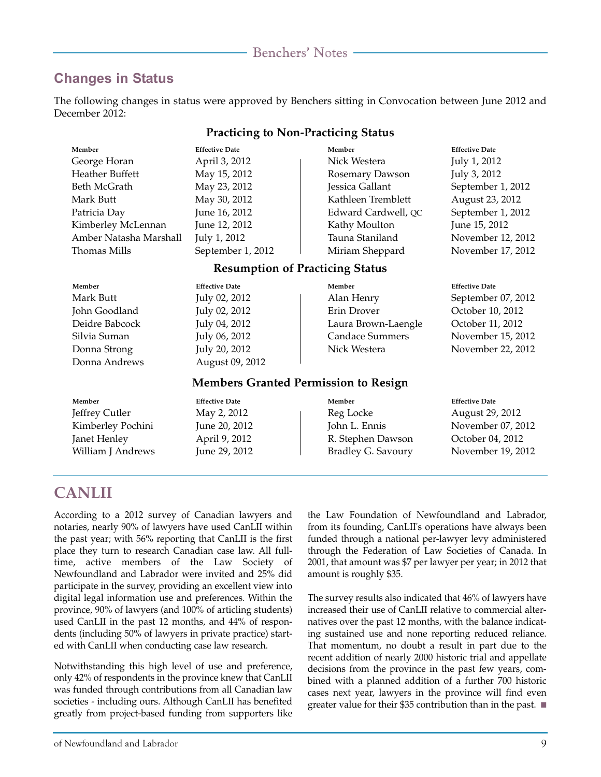### **Changes in Status**

The following changes in status were approved by Benchers sitting in Convocation between June 2012 and December 2012:

| <b>Practicing to Non-Practicing Status</b>  |                       |                        |                       |  |
|---------------------------------------------|-----------------------|------------------------|-----------------------|--|
| Member                                      | <b>Effective Date</b> | Member                 | <b>Effective Date</b> |  |
| George Horan                                | April 3, 2012         | Nick Westera           | July 1, 2012          |  |
| <b>Heather Buffett</b>                      | May 15, 2012          | Rosemary Dawson        | July 3, 2012          |  |
| Beth McGrath                                | May 23, 2012          | Jessica Gallant        | September 1, 2012     |  |
| Mark Butt                                   | May 30, 2012          | Kathleen Tremblett     | August 23, 2012       |  |
| Patricia Day                                | June 16, 2012         | Edward Cardwell, QC    | September 1, 2012     |  |
| Kimberley McLennan                          | June 12, 2012         | Kathy Moulton          | June 15, 2012         |  |
| Amber Natasha Marshall                      | July 1, 2012          | Tauna Staniland        | November 12, 2012     |  |
| <b>Thomas Mills</b>                         | September 1, 2012     | Miriam Sheppard        | November 17, 2012     |  |
| <b>Resumption of Practicing Status</b>      |                       |                        |                       |  |
| Member                                      | <b>Effective Date</b> | Member                 | <b>Effective Date</b> |  |
| Mark Butt                                   | July 02, 2012         | Alan Henry             | September 07, 2012    |  |
| John Goodland                               | July 02, 2012         | Erin Drover            | October 10, 2012      |  |
| Deidre Babcock                              | July 04, 2012         | Laura Brown-Laengle    | October 11, 2012      |  |
| Silvia Suman                                | July 06, 2012         | <b>Candace Summers</b> | November 15, 2012     |  |
| Donna Strong                                | July 20, 2012         | Nick Westera           | November 22, 2012     |  |
| Donna Andrews                               | August 09, 2012       |                        |                       |  |
| <b>Members Granted Permission to Resign</b> |                       |                        |                       |  |
| Member                                      | <b>Effective Date</b> | Member                 | <b>Effective Date</b> |  |
| Jeffrey Cutler                              | May 2, 2012           | Reg Locke              | August 29, 2012       |  |
| Kimberley Pochini                           | June 20, 2012         | John L. Ennis          | November 07, 2012     |  |
| Janet Henley                                | April 9, 2012         | R. Stephen Dawson      | October 04, 2012      |  |
| William J Andrews                           | June 29, 2012         | Bradley G. Savoury     | November 19, 2012     |  |

### **CANLII**

According to a 2012 survey of Canadian lawyers and notaries, nearly 90% of lawyers have used CanLII within the past year; with 56% reporting that CanLII is the first place they turn to research Canadian case law. All fulltime, active members of the Law Society of Newfoundland and Labrador were invited and 25% did participate in the survey, providing an excellent view into digital legal information use and preferences. Within the province, 90% of lawyers (and 100% of articling students) used CanLII in the past 12 months, and 44% of respondents (including 50% of lawyers in private practice) started with CanLII when conducting case law research.

Notwithstanding this high level of use and preference, only 42% of respondents in the province knew that CanLII was funded through contributions from all Canadian law societies - including ours. Although CanLII has benefited greatly from project-based funding from supporters like

the Law Foundation of Newfoundland and Labrador, from its founding, CanLII's operations have always been funded through a national per-lawyer levy administered through the Federation of Law Societies of Canada. In 2001, that amount was \$7 per lawyer per year; in 2012 that amount is roughly \$35.

The survey results also indicated that 46% of lawyers have increased their use of CanLII relative to commercial alternatives over the past 12 months, with the balance indicating sustained use and none reporting reduced reliance. That momentum, no doubt a result in part due to the recent addition of nearly 2000 historic trial and appellate decisions from the province in the past few years, combined with a planned addition of a further 700 historic cases next year, lawyers in the province will find even greater value for their \$35 contribution than in the past. ■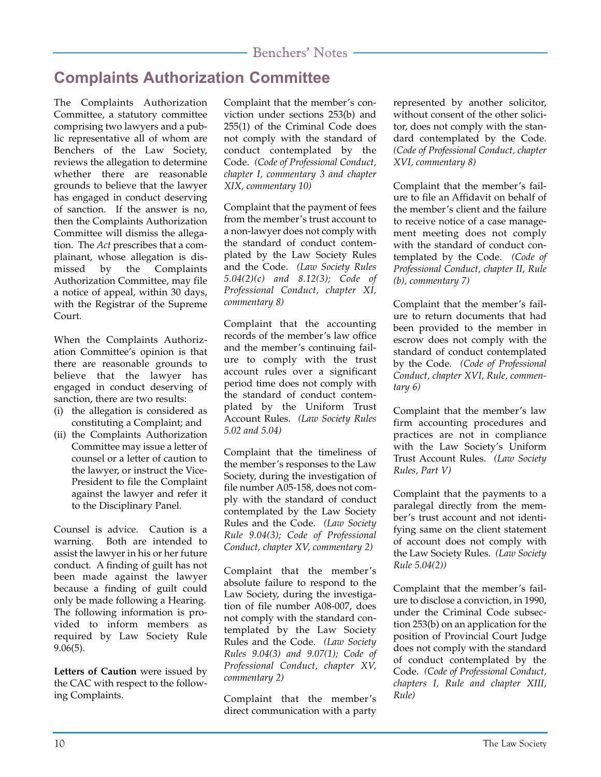# **Complaints Authorization Committee**

The Complaints Authorization Committee, a statutory committee comprising two lawyers and a public representative all of whom are Benchers of the Law Society, reviews the allegation to determine whether there are reasonable grounds to believe that the lawyer has engaged in conduct deserving of sanction. If the answer is no, then the Complaints Authorization Committee will dismiss the allegation. The *Act* prescribes that a complainant, whose allegation is dismissed by the Complaints Authorization Committee, may file a notice of appeal, within 30 days, with the Registrar of the Supreme Court.

When the Complaints Authorization Committee's opinion is that there are reasonable grounds to believe that the lawyer has engaged in conduct deserving of sanction, there are two results:

- (i) the allegation is considered as constituting a Complaint; and
- (ii) the Complaints Authorization Committee may issue a letter of counsel or a letter of caution to the lawyer, or instruct the Vice-President to file the Complaint against the lawyer and refer it to the Disciplinary Panel.

Counsel is advice. Caution is a warning. Both are intended to assist the lawyer in his or her future conduct. A finding of guilt has not been made against the lawyer because a finding of guilt could only be made following a Hearing. The following information is provided to inform members as required by Law Society Rule 9.06(5).

**Letters of Caution** were issued by the CAC with respect to the following Complaints.

Complaint that the member's conviction under sections 253(b) and 255(1) of the Criminal Code does not comply with the standard of conduct contemplated by the Code. *(Code of Professional Conduct, chapter I, commentary 3 and chapter XIX, commentary 10)*

Complaint that the payment of fees from the member's trust account to a non-lawyer does not comply with the standard of conduct contemplated by the Law Society Rules and the Code. *(Law Society Rules 5.04(2)(c) and 8.12(3); Code of Professional Conduct, chapter XI, commentary 8)*

Complaint that the accounting records of the member's law office and the member's continuing failure to comply with the trust account rules over a significant period time does not comply with the standard of conduct contemplated by the Uniform Trust Account Rules. *(Law Society Rules 5.02 and 5.04)*

Complaint that the timeliness of the member's responses to the Law Society, during the investigation of file number A05-158, does not comply with the standard of conduct contemplated by the Law Society Rules and the Code. *(Law Society Rule 9.04(3); Code of Professional Conduct, chapter XV, commentary 2)*

Complaint that the member's absolute failure to respond to the Law Society, during the investigation of file number A08-007, does not comply with the standard contemplated by the Law Society Rules and the Code. *(Law Society Rules 9.04(3) and 9.07(1); Code of Professional Conduct, chapter XV, commentary 2)*

Complaint that the member's direct communication with a party represented by another solicitor, without consent of the other solicitor, does not comply with the standard contemplated by the Code. *(Code of Professional Conduct, chapter XVI, commentary 8)*

Complaint that the member's failure to file an Affidavit on behalf of the member's client and the failure to receive notice of a case management meeting does not comply with the standard of conduct contemplated by the Code. *(Code of Professional Conduct, chapter II, Rule (b), commentary 7)*

Complaint that the member's failure to return documents that had been provided to the member in escrow does not comply with the standard of conduct contemplated by the Code. *(Code of Professional Conduct, chapter XVI, Rule, commentary 6)*

Complaint that the member's law firm accounting procedures and practices are not in compliance with the Law Society's Uniform Trust Account Rules. *(Law Society Rules, Part V)*

Complaint that the payments to a paralegal directly from the member's trust account and not identifying same on the client statement of account does not comply with the Law Society Rules. *(Law Society Rule 5.04(2))*

Complaint that the member's failure to disclose a conviction, in 1990, under the Criminal Code subsection 253(b) on an application for the position of Provincial Court Judge does not comply with the standard of conduct contemplated by the Code. *(Code of Professional Conduct, chapters I, Rule and chapter XIII, Rule)*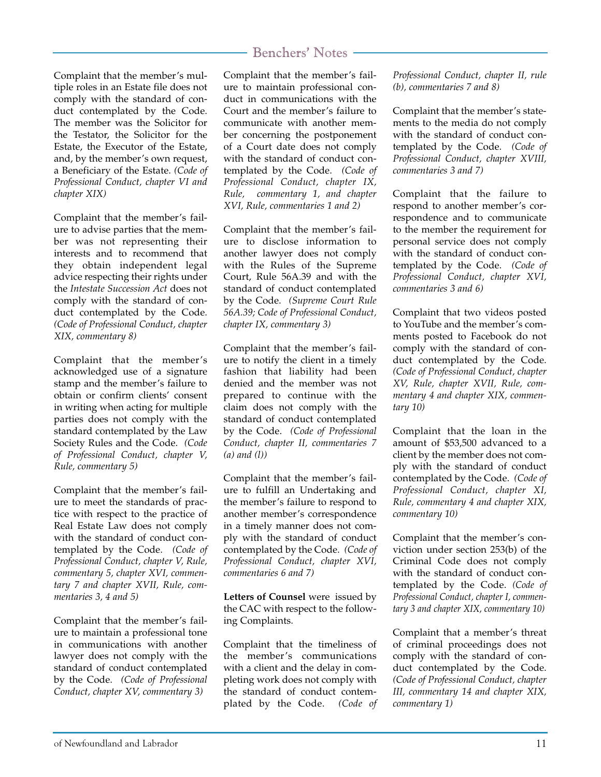Complaint that the member's multiple roles in an Estate file does not comply with the standard of conduct contemplated by the Code. The member was the Solicitor for the Testator, the Solicitor for the Estate, the Executor of the Estate, and, by the member's own request, a Beneficiary of the Estate. *(Code of Professional Conduct, chapter VI and chapter XIX)*

Complaint that the member's failure to advise parties that the member was not representing their interests and to recommend that they obtain independent legal advice respecting their rights under the *Intestate Succession Act* does not comply with the standard of conduct contemplated by the Code. *(Code of Professional Conduct, chapter XIX, commentary 8)*

Complaint that the member's acknowledged use of a signature stamp and the member's failure to obtain or confirm clients' consent in writing when acting for multiple parties does not comply with the standard contemplated by the Law Society Rules and the Code. *(Code of Professional Conduct, chapter V, Rule, commentary 5)*

Complaint that the member's failure to meet the standards of practice with respect to the practice of Real Estate Law does not comply with the standard of conduct contemplated by the Code. *(Code of Professional Conduct, chapter V, Rule, commentary 5, chapter XVI, commentary 7 and chapter XVII, Rule, commentaries 3, 4 and 5)*

Complaint that the member's failure to maintain a professional tone in communications with another lawyer does not comply with the standard of conduct contemplated by the Code. *(Code of Professional Conduct, chapter XV, commentary 3)*

Complaint that the member's failure to maintain professional conduct in communications with the Court and the member's failure to communicate with another member concerning the postponement of a Court date does not comply with the standard of conduct contemplated by the Code. *(Code of Professional Conduct, chapter IX, Rule, commentary 1, and chapter XVI, Rule, commentaries 1 and 2)*

Complaint that the member's failure to disclose information to another lawyer does not comply with the Rules of the Supreme Court, Rule 56A.39 and with the standard of conduct contemplated by the Code. *(Supreme Court Rule 56A.39; Code of Professional Conduct, chapter IX, commentary 3)*

Complaint that the member's failure to notify the client in a timely fashion that liability had been denied and the member was not prepared to continue with the claim does not comply with the standard of conduct contemplated by the Code. *(Code of Professional Conduct, chapter II, commentaries 7 (a) and (l))*

Complaint that the member's failure to fulfill an Undertaking and the member's failure to respond to another member's correspondence in a timely manner does not comply with the standard of conduct contemplated by the Code. *(Code of Professional Conduct, chapter XVI, commentaries 6 and 7)*

**Letters of Counsel** were issued by the CAC with respect to the following Complaints.

Complaint that the timeliness of the member's communications with a client and the delay in completing work does not comply with the standard of conduct contemplated by the Code. *(Code of* *Professional Conduct, chapter II, rule (b), commentaries 7 and 8)*

Complaint that the member's statements to the media do not comply with the standard of conduct contemplated by the Code. *(Code of Professional Conduct, chapter XVIII, commentaries 3 and 7)*

Complaint that the failure to respond to another member's correspondence and to communicate to the member the requirement for personal service does not comply with the standard of conduct contemplated by the Code. *(Code of Professional Conduct, chapter XVI, commentaries 3 and 6)*

Complaint that two videos posted to YouTube and the member's comments posted to Facebook do not comply with the standard of conduct contemplated by the Code. *(Code of Professional Conduct, chapter XV, Rule, chapter XVII, Rule, commentary 4 and chapter XIX, commentary 10)*

Complaint that the loan in the amount of \$53,500 advanced to a client by the member does not comply with the standard of conduct contemplated by the Code. *(Code of Professional Conduct, chapter XI, Rule, commentary 4 and chapter XIX, commentary 10)*

Complaint that the member's conviction under section 253(b) of the Criminal Code does not comply with the standard of conduct contemplated by the Code. *(Code of Professional Conduct, chapter I, commentary 3 and chapter XIX, commentary 10)*

Complaint that a member's threat of criminal proceedings does not comply with the standard of conduct contemplated by the Code. *(Code of Professional Conduct, chapter III, commentary 14 and chapter XIX, commentary 1)*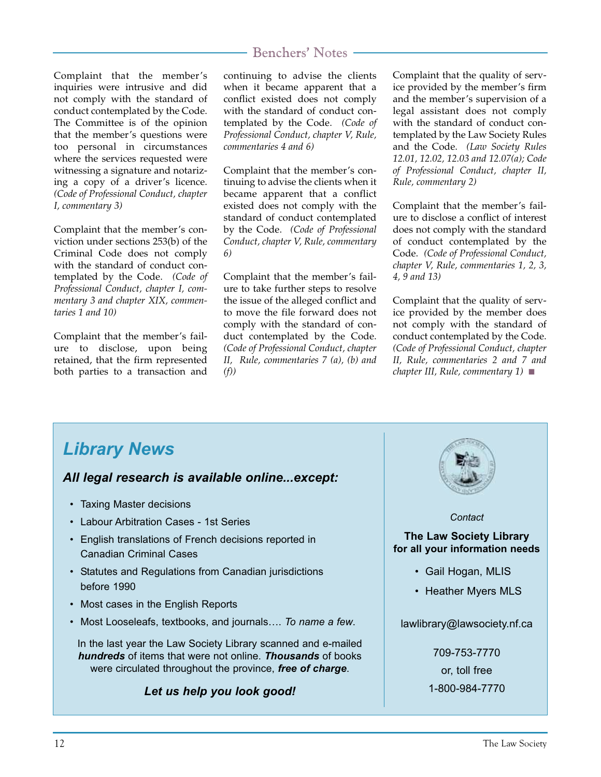Complaint that the member's inquiries were intrusive and did not comply with the standard of conduct contemplated by the Code. The Committee is of the opinion that the member's questions were too personal in circumstances where the services requested were witnessing a signature and notarizing a copy of a driver's licence. *(Code of Professional Conduct, chapter I, commentary 3)*

Complaint that the member's conviction under sections 253(b) of the Criminal Code does not comply with the standard of conduct contemplated by the Code. *(Code of Professional Conduct, chapter I, commentary 3 and chapter XIX, commentaries 1 and 10)*

Complaint that the member's failure to disclose, upon being retained, that the firm represented both parties to a transaction and

### Benchers' Notes

continuing to advise the clients when it became apparent that a conflict existed does not comply with the standard of conduct contemplated by the Code. *(Code of Professional Conduct, chapter V, Rule, commentaries 4 and 6)*

Complaint that the member's continuing to advise the clients when it became apparent that a conflict existed does not comply with the standard of conduct contemplated by the Code. *(Code of Professional Conduct, chapter V, Rule, commentary 6)*

Complaint that the member's failure to take further steps to resolve the issue of the alleged conflict and to move the file forward does not comply with the standard of conduct contemplated by the Code. *(Code of Professional Conduct, chapter II, Rule, commentaries 7 (a), (b) and (f))*

Complaint that the quality of service provided by the member's firm and the member's supervision of a legal assistant does not comply with the standard of conduct contemplated by the Law Society Rules and the Code. *(Law Society Rules 12.01, 12.02, 12.03 and 12.07(a); Code of Professional Conduct, chapter II, Rule, commentary 2)*

Complaint that the member's failure to disclose a conflict of interest does not comply with the standard of conduct contemplated by the Code. *(Code of Professional Conduct, chapter V, Rule, commentaries 1, 2, 3, 4, 9 and 13)*

Complaint that the quality of service provided by the member does not comply with the standard of conduct contemplated by the Code. *(Code of Professional Conduct, chapter II, Rule, commentaries 2 and 7 and chapter III, Rule, commentary 1)* ■

# *Library News*

### *All legal research is available online...except:*

- Taxing Master decisions
- Labour Arbitration Cases 1st Series
- English translations of French decisions reported in Canadian Criminal Cases
- Statutes and Regulations from Canadian jurisdictions before 1990
- Most cases in the English Reports
- Most Looseleafs, textbooks, and journals…. *To name a few*.

In the last year the Law Society Library scanned and e-mailed *hundreds* of items that were not online. *Thousands* of books were circulated throughout the province, *free of charge*.

### *Let us help you look good!*



#### *Contact*

**The Law Society Library for all your information needs**

- Gail Hogan, MLIS
- Heather Myers MLS

lawlibrary@lawsociety.nf.ca

709-753-7770 or, toll free 1-800-984-7770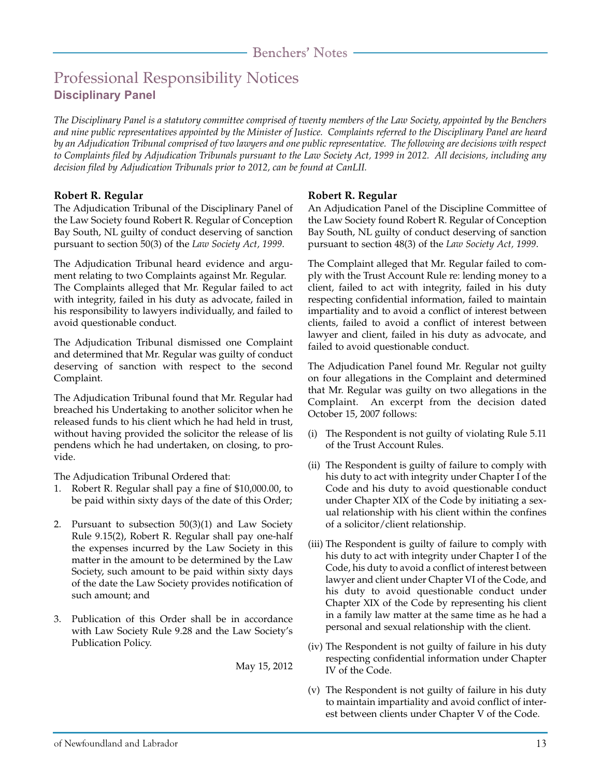# Professional Responsibility Notices **Disciplinary Panel**

*The Disciplinary Panel is a statutory committee comprised of twenty members of the Law Society, appointed by the Benchers and nine public representatives appointed by the Minister of Justice. Complaints referred to the Disciplinary Panel are heard by an Adjudication Tribunal comprised of two lawyers and one public representative. The following are decisions with respect to Complaints filed by Adjudication Tribunals pursuant to the Law Society Act, 1999 in 2012. All decisions, including any decision filed by Adjudication Tribunals prior to 2012, can be found at CanLII.*

#### **Robert R. Regular**

The Adjudication Tribunal of the Disciplinary Panel of the Law Society found Robert R. Regular of Conception Bay South, NL guilty of conduct deserving of sanction pursuant to section 50(3) of the *Law Society Act, 1999*.

The Adjudication Tribunal heard evidence and argument relating to two Complaints against Mr. Regular. The Complaints alleged that Mr. Regular failed to act with integrity, failed in his duty as advocate, failed in his responsibility to lawyers individually, and failed to avoid questionable conduct.

The Adjudication Tribunal dismissed one Complaint and determined that Mr. Regular was guilty of conduct deserving of sanction with respect to the second Complaint.

The Adjudication Tribunal found that Mr. Regular had breached his Undertaking to another solicitor when he released funds to his client which he had held in trust, without having provided the solicitor the release of lis pendens which he had undertaken, on closing, to provide.

The Adjudication Tribunal Ordered that:

- 1. Robert R. Regular shall pay a fine of \$10,000.00, to be paid within sixty days of the date of this Order;
- 2. Pursuant to subsection 50(3)(1) and Law Society Rule 9.15(2), Robert R. Regular shall pay one-half the expenses incurred by the Law Society in this matter in the amount to be determined by the Law Society, such amount to be paid within sixty days of the date the Law Society provides notification of such amount; and
- 3. Publication of this Order shall be in accordance with Law Society Rule 9.28 and the Law Society's Publication Policy.

May 15, 2012

#### **Robert R. Regular**

An Adjudication Panel of the Discipline Committee of the Law Society found Robert R. Regular of Conception Bay South, NL guilty of conduct deserving of sanction pursuant to section 48(3) of the *Law Society Act, 1999*.

The Complaint alleged that Mr. Regular failed to comply with the Trust Account Rule re: lending money to a client, failed to act with integrity, failed in his duty respecting confidential information, failed to maintain impartiality and to avoid a conflict of interest between clients, failed to avoid a conflict of interest between lawyer and client, failed in his duty as advocate, and failed to avoid questionable conduct.

The Adjudication Panel found Mr. Regular not guilty on four allegations in the Complaint and determined that Mr. Regular was guilty on two allegations in the Complaint. An excerpt from the decision dated October 15, 2007 follows:

- (i) The Respondent is not guilty of violating Rule 5.11 of the Trust Account Rules.
- (ii) The Respondent is guilty of failure to comply with his duty to act with integrity under Chapter I of the Code and his duty to avoid questionable conduct under Chapter XIX of the Code by initiating a sexual relationship with his client within the confines of a solicitor/client relationship.
- (iii) The Respondent is guilty of failure to comply with his duty to act with integrity under Chapter I of the Code, his duty to avoid a conflict of interest between lawyer and client under Chapter VI of the Code, and his duty to avoid questionable conduct under Chapter XIX of the Code by representing his client in a family law matter at the same time as he had a personal and sexual relationship with the client.
- (iv) The Respondent is not guilty of failure in his duty respecting confidential information under Chapter IV of the Code.
- (v) The Respondent is not guilty of failure in his duty to maintain impartiality and avoid conflict of interest between clients under Chapter V of the Code.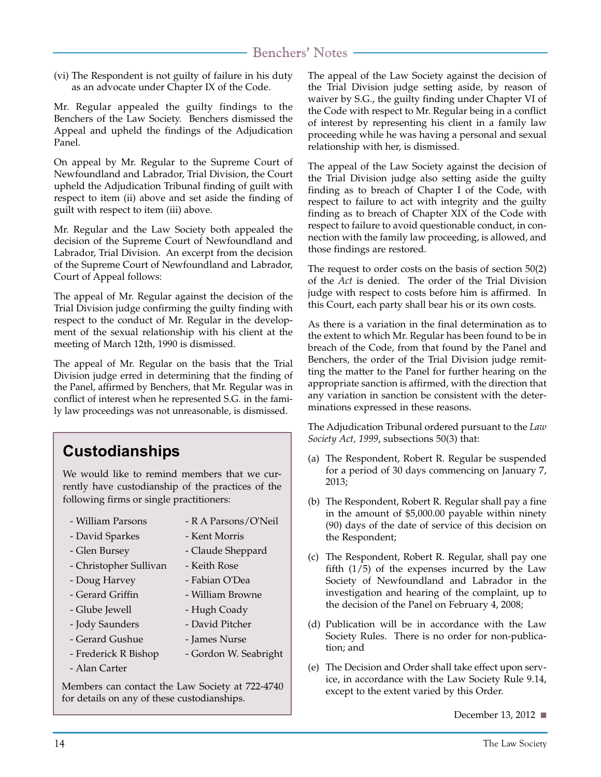(vi) The Respondent is not guilty of failure in his duty as an advocate under Chapter IX of the Code.

Mr. Regular appealed the guilty findings to the Benchers of the Law Society. Benchers dismissed the Appeal and upheld the findings of the Adjudication Panel.

On appeal by Mr. Regular to the Supreme Court of Newfoundland and Labrador, Trial Division, the Court upheld the Adjudication Tribunal finding of guilt with respect to item (ii) above and set aside the finding of guilt with respect to item (iii) above.

Mr. Regular and the Law Society both appealed the decision of the Supreme Court of Newfoundland and Labrador, Trial Division. An excerpt from the decision of the Supreme Court of Newfoundland and Labrador, Court of Appeal follows:

The appeal of Mr. Regular against the decision of the Trial Division judge confirming the guilty finding with respect to the conduct of Mr. Regular in the development of the sexual relationship with his client at the meeting of March 12th, 1990 is dismissed.

The appeal of Mr. Regular on the basis that the Trial Division judge erred in determining that the finding of the Panel, affirmed by Benchers, that Mr. Regular was in conflict of interest when he represented S.G. in the family law proceedings was not unreasonable, is dismissed.

# **Custodianships**

We would like to remind members that we currently have custodianship of the practices of the following firms or single practitioners:

- William Parsons
- R A Parsons/O'Neil
- David Sparkes
- Kent Morris - Claude Sheppard

- William Browne - Hugh Coady - David Pitcher - James Nurse

- Gordon W. Seabright

- Glen Bursey - Christopher Sullivan
	- Keith Rose - Fabian O'Dea
- Doug Harvey
- Gerard Griffin
- Glube Jewell
- Jody Saunders
- Gerard Gushue
- Frederick R Bishop
- Alan Carter

Members can contact the Law Society at 722-4740 for details on any of these custodianships.

The appeal of the Law Society against the decision of the Trial Division judge setting aside, by reason of waiver by S.G., the guilty finding under Chapter VI of the Code with respect to Mr. Regular being in a conflict of interest by representing his client in a family law proceeding while he was having a personal and sexual relationship with her, is dismissed.

The appeal of the Law Society against the decision of the Trial Division judge also setting aside the guilty finding as to breach of Chapter I of the Code, with respect to failure to act with integrity and the guilty finding as to breach of Chapter XIX of the Code with respect to failure to avoid questionable conduct, in connection with the family law proceeding, is allowed, and those findings are restored.

The request to order costs on the basis of section 50(2) of the *Act* is denied. The order of the Trial Division judge with respect to costs before him is affirmed. In this Court, each party shall bear his or its own costs.

As there is a variation in the final determination as to the extent to which Mr. Regular has been found to be in breach of the Code, from that found by the Panel and Benchers, the order of the Trial Division judge remitting the matter to the Panel for further hearing on the appropriate sanction is affirmed, with the direction that any variation in sanction be consistent with the determinations expressed in these reasons.

The Adjudication Tribunal ordered pursuant to the *Law Society Act, 1999*, subsections 50(3) that:

- (a) The Respondent, Robert R. Regular be suspended for a period of 30 days commencing on January 7, 2013;
- (b) The Respondent, Robert R. Regular shall pay a fine in the amount of \$5,000.00 payable within ninety (90) days of the date of service of this decision on the Respondent;
- (c) The Respondent, Robert R. Regular, shall pay one fifth  $(1/5)$  of the expenses incurred by the Law Society of Newfoundland and Labrador in the investigation and hearing of the complaint, up to the decision of the Panel on February 4, 2008;
- (d) Publication will be in accordance with the Law Society Rules. There is no order for non-publication; and
- (e) The Decision and Order shall take effect upon service, in accordance with the Law Society Rule 9.14, except to the extent varied by this Order.

December 13, 2012 ■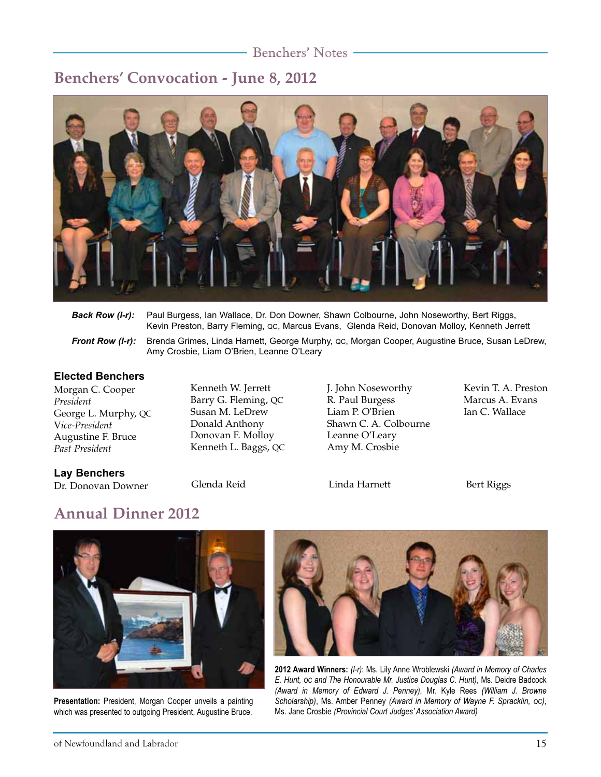### **Benchers' Convocation - June 8, 2012**



| Back Row (I-r): Paul Burgess, Ian Wallace, Dr. Don Downer, Shawn Colbourne, John Noseworthy, Bert Riggs, |  |
|----------------------------------------------------------------------------------------------------------|--|
| Kevin Preston, Barry Fleming, QC, Marcus Evans, Glenda Reid, Donovan Molloy, Kenneth Jerrett             |  |
|                                                                                                          |  |

*Front Row (I-r):* Brenda Grimes, Linda Harnett, George Murphy, QC, Morgan Cooper, Augustine Bruce, Susan LeDrew, Amy Crosbie, Liam O'Brien, Leanne O'Leary

#### **Elected Benchers**

Morgan C. Cooper *President* George L. Murphy, QC V*ice-President* Augustine F. Bruce *Past President*

Kenneth W. Jerrett Barry G. Fleming, QC Susan M. LeDrew Donald Anthony Donovan F. Molloy Kenneth L. Baggs, QC

J. John Noseworthy R. Paul Burgess Liam P. O'Brien Shawn C. A. Colbourne Leanne O'Leary Amy M. Crosbie

Kevin T. A. Preston Marcus A. Evans Ian C. Wallace

#### **Lay Benchers**

Dr. Donovan Downer Glenda Reid Linda Harnett Bert Riggs

# **Annual Dinner 2012**



**Presentation:** President, Morgan Cooper unveils a painting which was presented to outgoing President, Augustine Bruce.



**2012 Award Winners:** *(l-r)*: Ms. Lily Anne Wroblewski *(Award in Memory of Charles E. Hunt, QC and The Honourable Mr. Justice Douglas C. Hunt)*, Ms. Deidre Badcock *(Award in Memory of Edward J. Penney)*, Mr. Kyle Rees *(William J. Browne Scholarship)*, Ms. Amber Penney *(Award in Memory of Wayne F. Spracklin, QC)*, Ms. Jane Crosbie *(Provincial Court Judges' Association Award)*